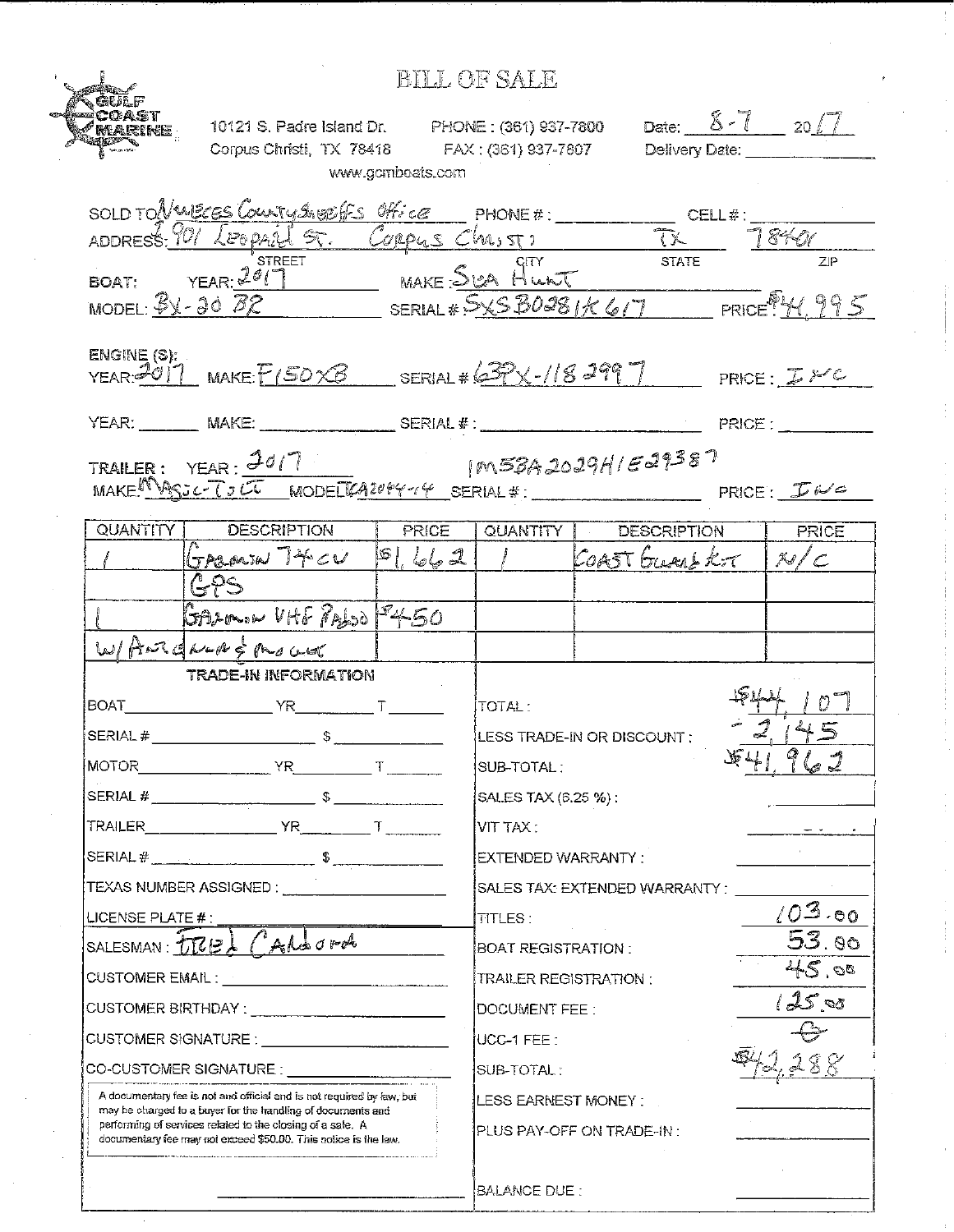|                                                                                                                                                                                                                                                                       |                                                                                                                                            |                  | BILL OF SALE                                      |                                           |              |  |
|-----------------------------------------------------------------------------------------------------------------------------------------------------------------------------------------------------------------------------------------------------------------------|--------------------------------------------------------------------------------------------------------------------------------------------|------------------|---------------------------------------------------|-------------------------------------------|--------------|--|
|                                                                                                                                                                                                                                                                       | 10121 S. Padre Island Dr. PHONE : (361) 937-7800 Date: $8-7$ 20 $-7$<br>Corpus Christi, TX 78418 FAX: (361) 937-7807 Delivery Date: ______ | www.gomboats.com |                                                   |                                           |              |  |
|                                                                                                                                                                                                                                                                       |                                                                                                                                            |                  |                                                   |                                           |              |  |
|                                                                                                                                                                                                                                                                       | SOLD TONWECES COUNTY SHEET Office PHONE #: CELL #: CELL #: 1840                                                                            |                  |                                                   |                                           |              |  |
|                                                                                                                                                                                                                                                                       |                                                                                                                                            |                  |                                                   |                                           |              |  |
|                                                                                                                                                                                                                                                                       | STREET<br>BOAT: YEAR: 2017 MAKE: SILA HUNT<br>MODEL: BX-20 BR SERIAL # SXSB0081/C617 PRICE: H, 995                                         |                  |                                                   |                                           |              |  |
| ENGINE(S):                                                                                                                                                                                                                                                            | $YEAR. 2011$ MAKE $F(SOXB$ SERIAL # 63PX-118 2997                                                                                          |                  |                                                   |                                           |              |  |
|                                                                                                                                                                                                                                                                       |                                                                                                                                            |                  |                                                   |                                           |              |  |
|                                                                                                                                                                                                                                                                       | TRAILER: YEAR: 3017 [M58A2029H/E29387<br>MAKE! MOSC-TJUT MODELLA204414 SERIAL#: PRICE: INC                                                 |                  |                                                   |                                           |              |  |
|                                                                                                                                                                                                                                                                       | QUANTITY DESCRIPTION                                                                                                                       | PRICE            |                                                   | QUANTITY DESCRIPTION                      | <b>PRICE</b> |  |
|                                                                                                                                                                                                                                                                       | Greated $740$ $862$                                                                                                                        |                  |                                                   | COAST GUAR KOT   N/C                      |              |  |
|                                                                                                                                                                                                                                                                       |                                                                                                                                            |                  |                                                   |                                           |              |  |
|                                                                                                                                                                                                                                                                       | GALOWIN UHF PALSO F450                                                                                                                     |                  |                                                   |                                           |              |  |
|                                                                                                                                                                                                                                                                       | W/ ANTENNA & Mover                                                                                                                         |                  |                                                   |                                           |              |  |
| BOAT                                                                                                                                                                                                                                                                  | TRADE-IN INFORMATION                                                                                                                       |                  |                                                   |                                           |              |  |
|                                                                                                                                                                                                                                                                       | $YR$ $T$ $T$<br>$\mathbb{S}$<br>$SERIAL \#$                                                                                                |                  |                                                   | ITOTAL : I<br>LESS TRADE-IN OR DISCOUNT : |              |  |
| $MOTOR$ $YR$ $T$ $T$                                                                                                                                                                                                                                                  |                                                                                                                                            |                  | 足升!<br>œ<br>762<br>SUB-TOTAL:                     |                                           |              |  |
|                                                                                                                                                                                                                                                                       |                                                                                                                                            |                  | SALES TAX (6.25 %):                               |                                           |              |  |
|                                                                                                                                                                                                                                                                       |                                                                                                                                            |                  | $\overline{\text{VIT TAX}}$ :                     |                                           |              |  |
|                                                                                                                                                                                                                                                                       |                                                                                                                                            |                  | EXTENDED WARRANTY .                               |                                           |              |  |
| TEXAS NUMBER ASSIGNED : _____________________                                                                                                                                                                                                                         |                                                                                                                                            |                  | SALES TAX: EXTENDED WARRANTY :                    |                                           |              |  |
| LICENSE PLATE #:                                                                                                                                                                                                                                                      |                                                                                                                                            |                  | (03.80)<br>TITLES :                               |                                           |              |  |
| SALESMAN FREI CALLORA                                                                                                                                                                                                                                                 |                                                                                                                                            |                  | $\overline{53}$ . 90<br><b>BOAT REGISTRATION:</b> |                                           |              |  |
|                                                                                                                                                                                                                                                                       |                                                                                                                                            |                  | 45.08<br><b>TRAILER REGISTRATION:</b>             |                                           |              |  |
|                                                                                                                                                                                                                                                                       |                                                                                                                                            |                  | 125,00<br>DOCUMENT FEE:                           |                                           |              |  |
| CUSTOMER SIGNATURE : ______________________________                                                                                                                                                                                                                   |                                                                                                                                            |                  | UCC-1 FEE :                                       |                                           |              |  |
|                                                                                                                                                                                                                                                                       |                                                                                                                                            |                  | SUB-TOTAL:                                        |                                           |              |  |
| A documentary fee is not and official and is not required by law, but<br>may be charged to a buyer for the handling of documents and<br>performing of services related to the closing of a safe. A<br>documentary tee may not exceed \$50.00. This notice is the law. |                                                                                                                                            |                  | LESS EARNEST MONEY :<br>PLUS PAY-OFF ON TRADE-IN: |                                           |              |  |
|                                                                                                                                                                                                                                                                       |                                                                                                                                            |                  | BALANCE DUE :                                     |                                           |              |  |

 $\frac{1}{2}$ 

 $\begin{array}{c} 1 \\ 1 \\ 1 \\ 1 \end{array}$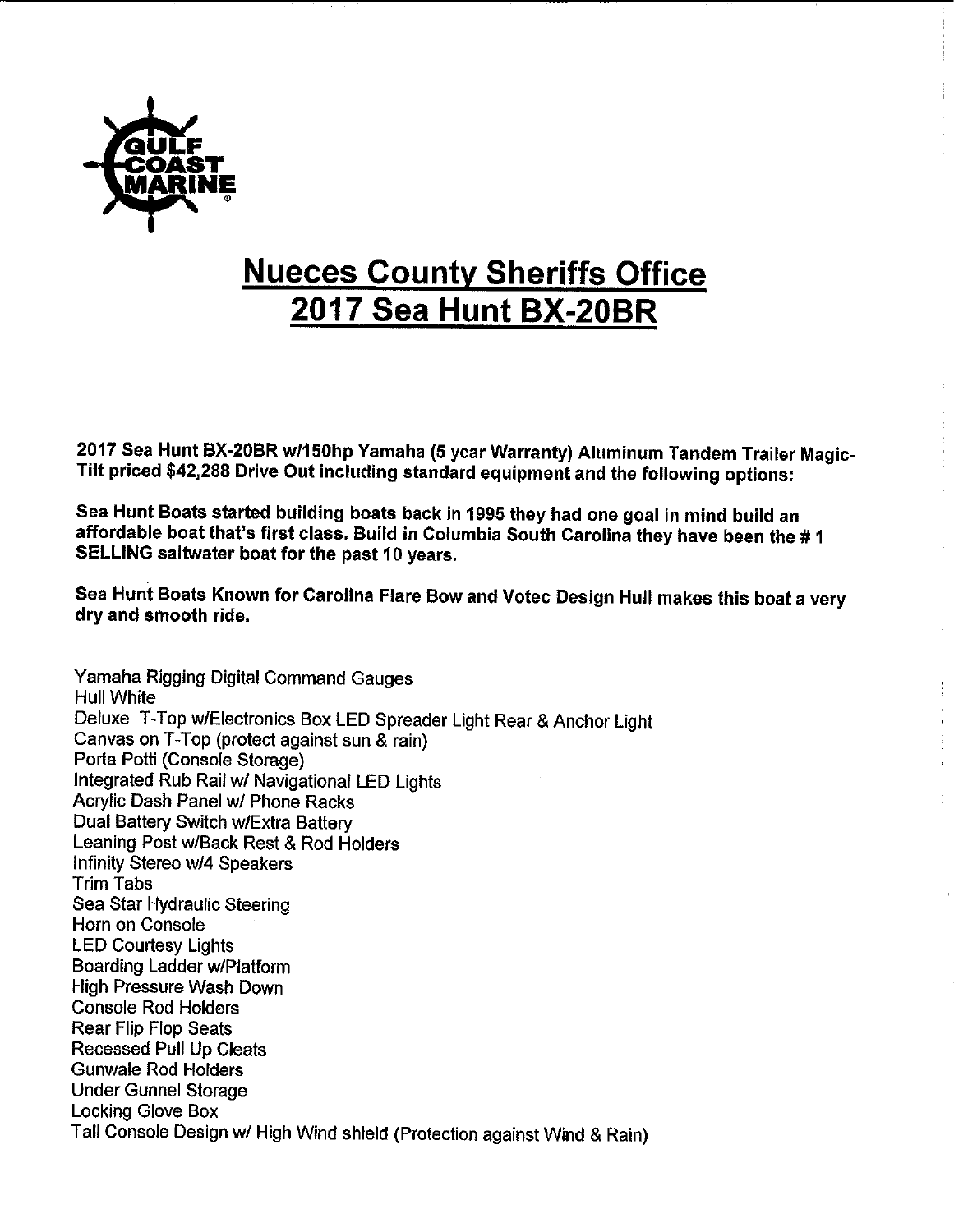

## **Nueces County** Sheriffs **Office 2017 Sea Hunt BX-20BR**

2017 Sea Hunt **BX-20BR** w/150hp Yamaha (5 year Warranty) Aluminum Tandem Trailer Magic-Tilt priced \$42,288 Drive Out including standard equipment and the following options:

Sea Hunt Boats started building boats back in 1995 they had one goal in mind build an affordable boat that's first class. Build in Columbia South Carolina they have been the # I SELLING saltwater boat for the past 10 years.

Sea Hunt Boats Known for Carolina Flare Bow and Votec Design Hull makes this boat a very dry and smooth ride.

Yamaha Rigging Digital Command Gauges Hull White Deluxe 1-Top w/Electronics Box LED Spreader Light Rear & Anchor Light Canvas on T-Top (protect against sun & rain) Porta Potti (Console Storage) Integrated Rub Rail w/ Navigational LED Lights Acrylic Dash Panel w/ Phone Racks Dual Battery Switch w/Extra Battery Leaning Post w/Back Rest & Rod Holders Infinity Stereo w14 Speakers Trim Tabs Sea Star Hydraulic Steering Horn on Console LED Courtesy Lights Boarding Ladder w/Platform High Pressure Wash Down Console Rod Holders Rear Flip Flop Seats Recessed Pull Up Cleats Gunwale Rod Holders Under Gunnel Storage Locking Glove Box Tall Console Design w/ High Wind shield (Protection against Wind & Rain)